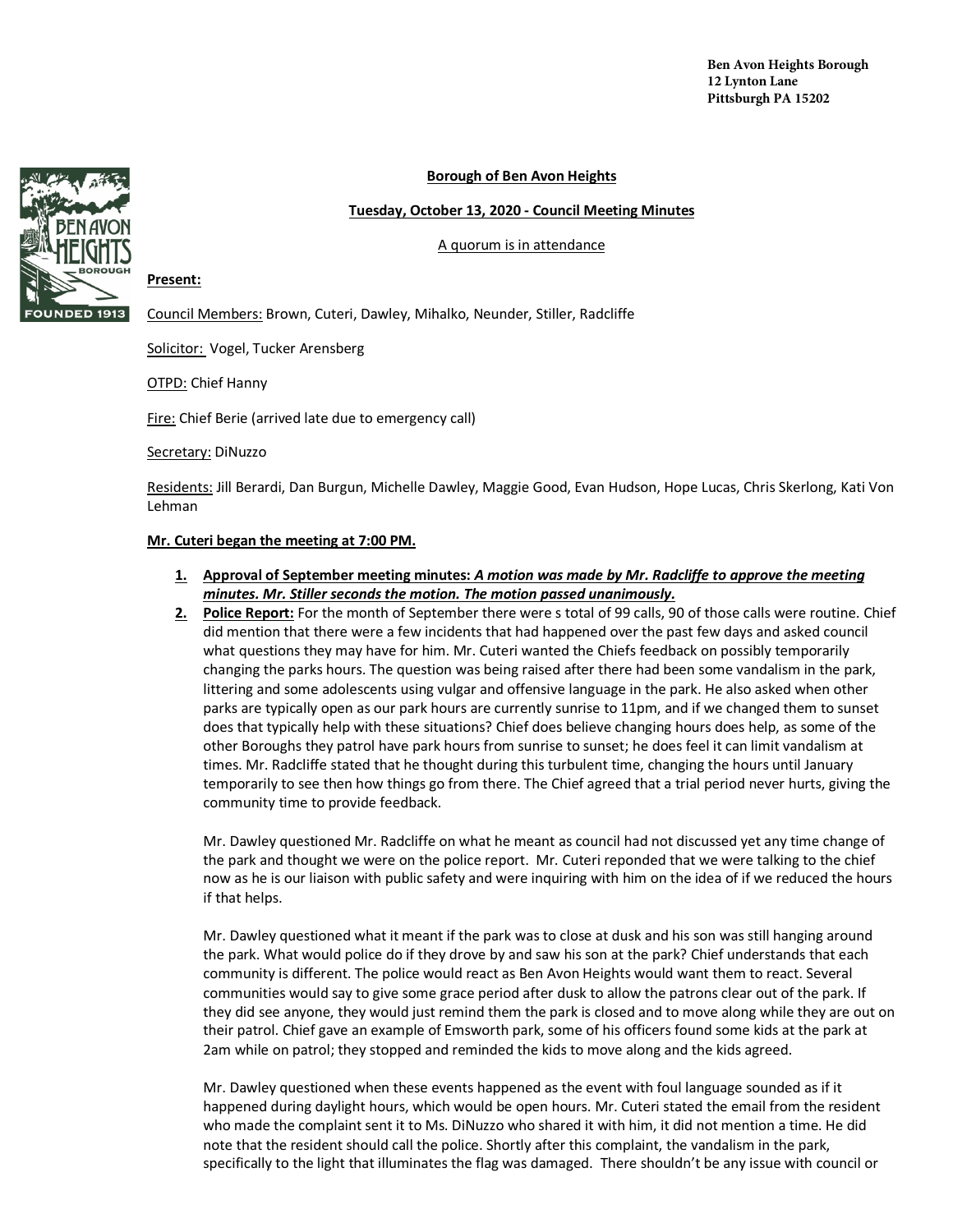

## **Borough of Ben Avon Heights**

### **Tuesday, October 13, 2020 - Council Meeting Minutes**

### A quorum is in attendance

**Present:** 

Council Members: Brown, Cuteri, Dawley, Mihalko, Neunder, Stiller, Radcliffe

Solicitor: Vogel, Tucker Arensberg

OTPD: Chief Hanny

Fire: Chief Berie (arrived late due to emergency call)

#### Secretary: DiNuzzo

Residents: Jill Berardi, Dan Burgun, Michelle Dawley, Maggie Good, Evan Hudson, Hope Lucas, Chris Skerlong, Kati Von Lehman

#### **Mr. Cuteri began the meeting at 7:00 PM.**

- **1. Approval of September meeting minutes:** *A motion was made by Mr. Radcliffe to approve the meeting minutes. Mr. Stiller seconds the motion. The motion passed unanimously.*
- **2. Police Report:** For the month of September there were s total of 99 calls, 90 of those calls were routine. Chief did mention that there were a few incidents that had happened over the past few days and asked council what questions they may have for him. Mr. Cuteri wanted the Chiefs feedback on possibly temporarily changing the parks hours. The question was being raised after there had been some vandalism in the park, littering and some adolescents using vulgar and offensive language in the park. He also asked when other parks are typically open as our park hours are currently sunrise to 11pm, and if we changed them to sunset does that typically help with these situations? Chief does believe changing hours does help, as some of the other Boroughs they patrol have park hours from sunrise to sunset; he does feel it can limit vandalism at times. Mr. Radcliffe stated that he thought during this turbulent time, changing the hours until January temporarily to see then how things go from there. The Chief agreed that a trial period never hurts, giving the community time to provide feedback.

Mr. Dawley questioned Mr. Radcliffe on what he meant as council had not discussed yet any time change of the park and thought we were on the police report. Mr. Cuteri reponded that we were talking to the chief now as he is our liaison with public safety and were inquiring with him on the idea of if we reduced the hours if that helps.

Mr. Dawley questioned what it meant if the park was to close at dusk and his son was still hanging around the park. What would police do if they drove by and saw his son at the park? Chief understands that each community is different. The police would react as Ben Avon Heights would want them to react. Several communities would say to give some grace period after dusk to allow the patrons clear out of the park. If they did see anyone, they would just remind them the park is closed and to move along while they are out on their patrol. Chief gave an example of Emsworth park, some of his officers found some kids at the park at 2am while on patrol; they stopped and reminded the kids to move along and the kids agreed.

Mr. Dawley questioned when these events happened as the event with foul language sounded as if it happened during daylight hours, which would be open hours. Mr. Cuteri stated the email from the resident who made the complaint sent it to Ms. DiNuzzo who shared it with him, it did not mention a time. He did note that the resident should call the police. Shortly after this complaint, the vandalism in the park, specifically to the light that illuminates the flag was damaged. There shouldn't be any issue with council or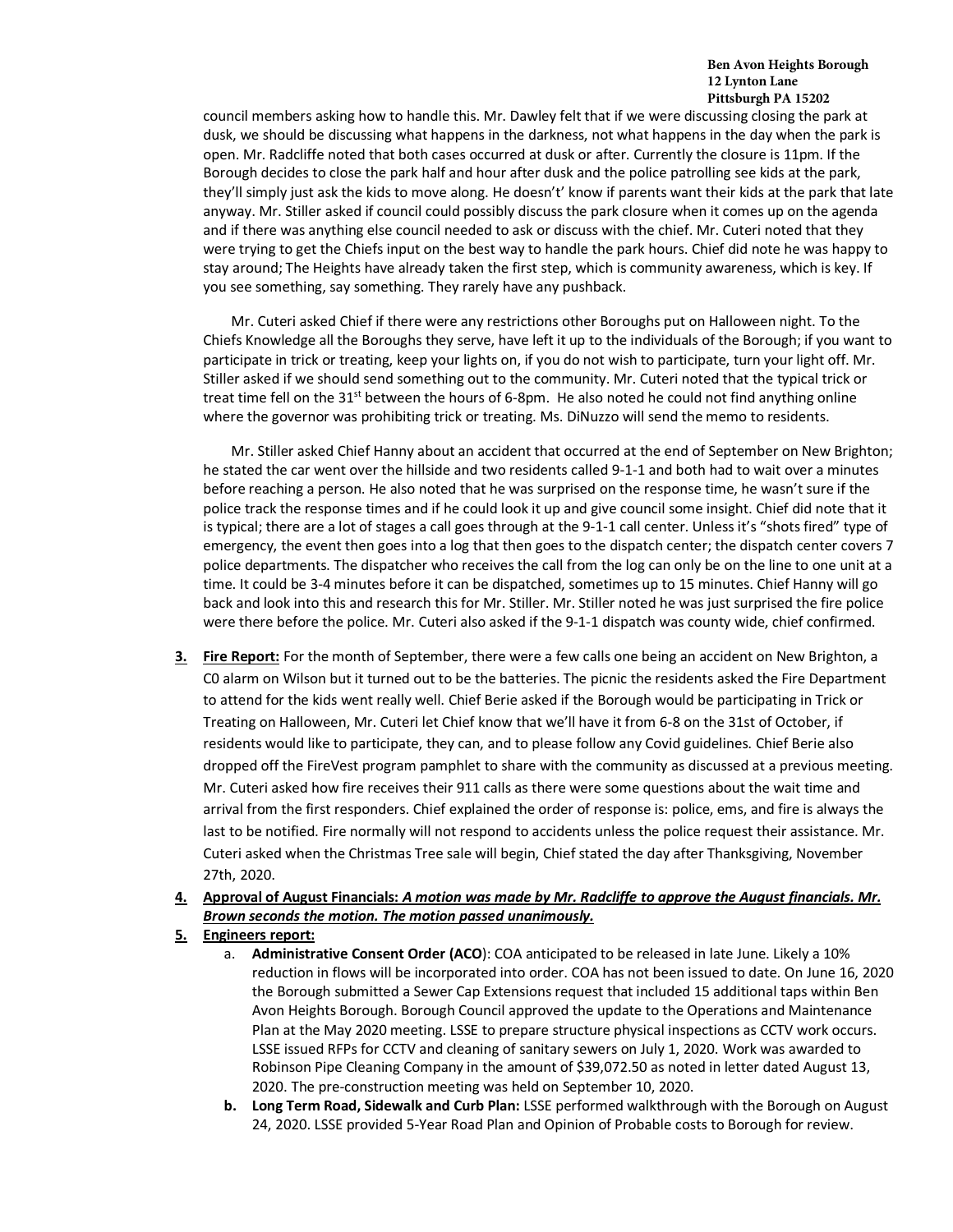council members asking how to handle this. Mr. Dawley felt that if we were discussing closing the park at dusk, we should be discussing what happens in the darkness, not what happens in the day when the park is open. Mr. Radcliffe noted that both cases occurred at dusk or after. Currently the closure is 11pm. If the Borough decides to close the park half and hour after dusk and the police patrolling see kids at the park, they'll simply just ask the kids to move along. He doesn't' know if parents want their kids at the park that late anyway. Mr. Stiller asked if council could possibly discuss the park closure when it comes up on the agenda and if there was anything else council needed to ask or discuss with the chief. Mr. Cuteri noted that they were trying to get the Chiefs input on the best way to handle the park hours. Chief did note he was happy to stay around; The Heights have already taken the first step, which is community awareness, which is key. If you see something, say something. They rarely have any pushback.

Mr. Cuteri asked Chief if there were any restrictions other Boroughs put on Halloween night. To the Chiefs Knowledge all the Boroughs they serve, have left it up to the individuals of the Borough; if you want to participate in trick or treating, keep your lights on, if you do not wish to participate, turn your light off. Mr. Stiller asked if we should send something out to the community. Mr. Cuteri noted that the typical trick or treat time fell on the 31<sup>st</sup> between the hours of 6-8pm. He also noted he could not find anything online where the governor was prohibiting trick or treating. Ms. DiNuzzo will send the memo to residents.

Mr. Stiller asked Chief Hanny about an accident that occurred at the end of September on New Brighton; he stated the car went over the hillside and two residents called 9-1-1 and both had to wait over a minutes before reaching a person. He also noted that he was surprised on the response time, he wasn't sure if the police track the response times and if he could look it up and give council some insight. Chief did note that it is typical; there are a lot of stages a call goes through at the 9-1-1 call center. Unless it's "shots fired" type of emergency, the event then goes into a log that then goes to the dispatch center; the dispatch center covers 7 police departments. The dispatcher who receives the call from the log can only be on the line to one unit at a time. It could be 3-4 minutes before it can be dispatched, sometimes up to 15 minutes. Chief Hanny will go back and look into this and research this for Mr. Stiller. Mr. Stiller noted he was just surprised the fire police were there before the police. Mr. Cuteri also asked if the 9-1-1 dispatch was county wide, chief confirmed.

**3. Fire Report:** For the month of September, there were a few calls one being an accident on New Brighton, a C0 alarm on Wilson but it turned out to be the batteries. The picnic the residents asked the Fire Department to attend for the kids went really well. Chief Berie asked if the Borough would be participating in Trick or Treating on Halloween, Mr. Cuteri let Chief know that we'll have it from 6-8 on the 31st of October, if residents would like to participate, they can, and to please follow any Covid guidelines. Chief Berie also dropped off the FireVest program pamphlet to share with the community as discussed at a previous meeting. Mr. Cuteri asked how fire receives their 911 calls as there were some questions about the wait time and arrival from the first responders. Chief explained the order of response is: police, ems, and fire is always the last to be notified. Fire normally will not respond to accidents unless the police request their assistance. Mr. Cuteri asked when the Christmas Tree sale will begin, Chief stated the day after Thanksgiving, November 27th, 2020.

# **4. Approval of August Financials:** *A motion was made by Mr. Radcliffe to approve the August financials. Mr. Brown seconds the motion. The motion passed unanimously.*

# **5. Engineers report:**

- a. **Administrative Consent Order (ACO**): COA anticipated to be released in late June. Likely a 10% reduction in flows will be incorporated into order. COA has not been issued to date. On June 16, 2020 the Borough submitted a Sewer Cap Extensions request that included 15 additional taps within Ben Avon Heights Borough. Borough Council approved the update to the Operations and Maintenance Plan at the May 2020 meeting. LSSE to prepare structure physical inspections as CCTV work occurs. LSSE issued RFPs for CCTV and cleaning of sanitary sewers on July 1, 2020. Work was awarded to Robinson Pipe Cleaning Company in the amount of \$39,072.50 as noted in letter dated August 13, 2020. The pre-construction meeting was held on September 10, 2020.
- **b. Long Term Road, Sidewalk and Curb Plan:** LSSE performed walkthrough with the Borough on August 24, 2020. LSSE provided 5-Year Road Plan and Opinion of Probable costs to Borough for review.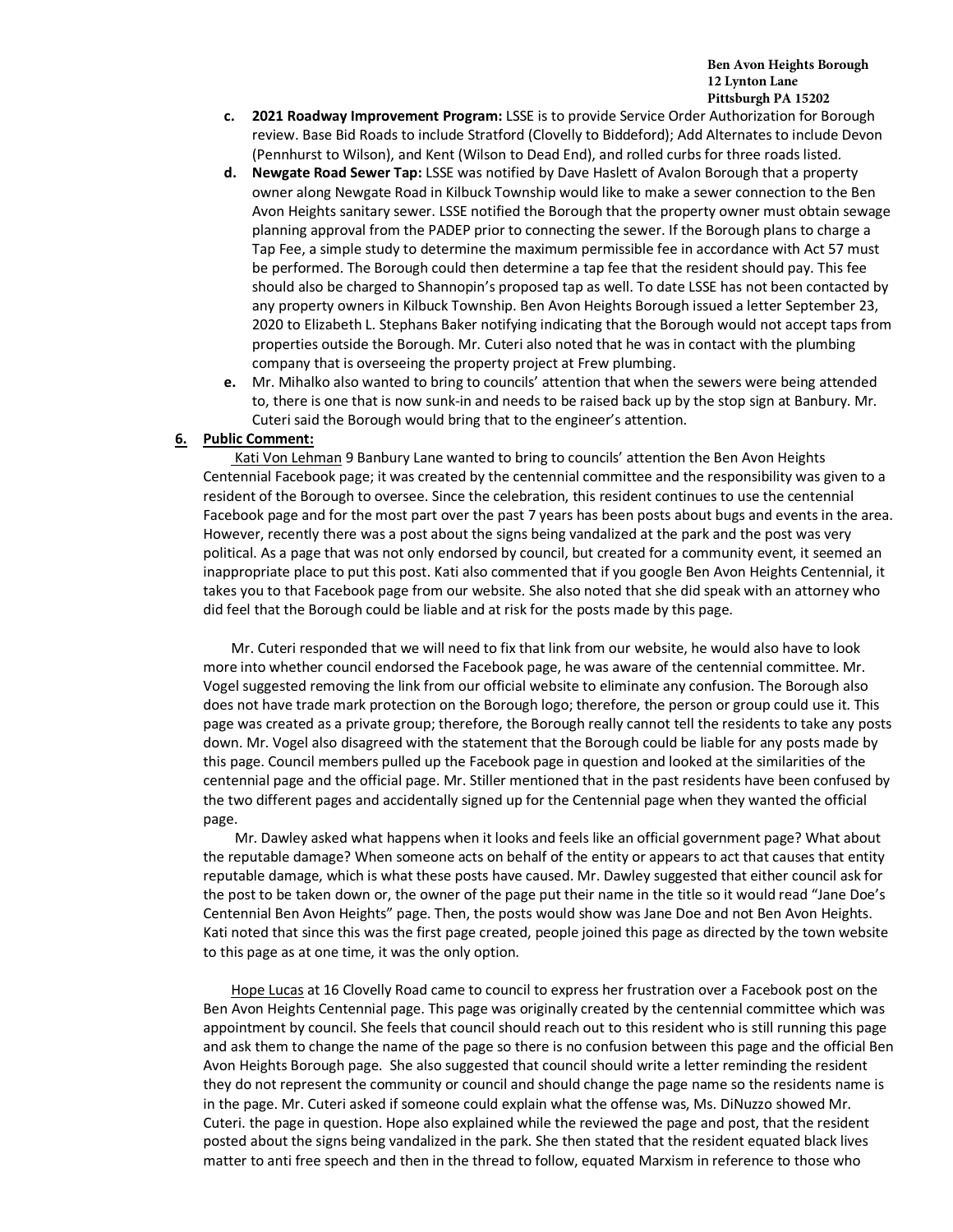- **c. 2021 Roadway Improvement Program:** LSSE is to provide Service Order Authorization for Borough review. Base Bid Roads to include Stratford (Clovelly to Biddeford); Add Alternates to include Devon (Pennhurst to Wilson), and Kent (Wilson to Dead End), and rolled curbs for three roads listed.
- **d. Newgate Road Sewer Tap:** LSSE was notified by Dave Haslett of Avalon Borough that a property owner along Newgate Road in Kilbuck Township would like to make a sewer connection to the Ben Avon Heights sanitary sewer. LSSE notified the Borough that the property owner must obtain sewage planning approval from the PADEP prior to connecting the sewer. If the Borough plans to charge a Tap Fee, a simple study to determine the maximum permissible fee in accordance with Act 57 must be performed. The Borough could then determine a tap fee that the resident should pay. This fee should also be charged to Shannopin's proposed tap as well. To date LSSE has not been contacted by any property owners in Kilbuck Township. Ben Avon Heights Borough issued a letter September 23, 2020 to Elizabeth L. Stephans Baker notifying indicating that the Borough would not accept taps from properties outside the Borough. Mr. Cuteri also noted that he was in contact with the plumbing company that is overseeing the property project at Frew plumbing.
- **e.** Mr. Mihalko also wanted to bring to councils' attention that when the sewers were being attended to, there is one that is now sunk-in and needs to be raised back up by the stop sign at Banbury. Mr. Cuteri said the Borough would bring that to the engineer's attention.

### **6. Public Comment:**

Kati Von Lehman 9 Banbury Lane wanted to bring to councils' attention the Ben Avon Heights Centennial Facebook page; it was created by the centennial committee and the responsibility was given to a resident of the Borough to oversee. Since the celebration, this resident continues to use the centennial Facebook page and for the most part over the past 7 years has been posts about bugs and events in the area. However, recently there was a post about the signs being vandalized at the park and the post was very political. As a page that was not only endorsed by council, but created for a community event, it seemed an inappropriate place to put this post. Kati also commented that if you google Ben Avon Heights Centennial, it takes you to that Facebook page from our website. She also noted that she did speak with an attorney who did feel that the Borough could be liable and at risk for the posts made by this page.

Mr. Cuteri responded that we will need to fix that link from our website, he would also have to look more into whether council endorsed the Facebook page, he was aware of the centennial committee. Mr. Vogel suggested removing the link from our official website to eliminate any confusion. The Borough also does not have trade mark protection on the Borough logo; therefore, the person or group could use it. This page was created as a private group; therefore, the Borough really cannot tell the residents to take any posts down. Mr. Vogel also disagreed with the statement that the Borough could be liable for any posts made by this page. Council members pulled up the Facebook page in question and looked at the similarities of the centennial page and the official page. Mr. Stiller mentioned that in the past residents have been confused by the two different pages and accidentally signed up for the Centennial page when they wanted the official page.

Mr. Dawley asked what happens when it looks and feels like an official government page? What about the reputable damage? When someone acts on behalf of the entity or appears to act that causes that entity reputable damage, which is what these posts have caused. Mr. Dawley suggested that either council ask for the post to be taken down or, the owner of the page put their name in the title so it would read "Jane Doe's Centennial Ben Avon Heights" page. Then, the posts would show was Jane Doe and not Ben Avon Heights. Kati noted that since this was the first page created, people joined this page as directed by the town website to this page as at one time, it was the only option.

Hope Lucas at 16 Clovelly Road came to council to express her frustration over a Facebook post on the Ben Avon Heights Centennial page. This page was originally created by the centennial committee which was appointment by council. She feels that council should reach out to this resident who is still running this page and ask them to change the name of the page so there is no confusion between this page and the official Ben Avon Heights Borough page. She also suggested that council should write a letter reminding the resident they do not represent the community or council and should change the page name so the residents name is in the page. Mr. Cuteri asked if someone could explain what the offense was, Ms. DiNuzzo showed Mr. Cuteri. the page in question. Hope also explained while the reviewed the page and post, that the resident posted about the signs being vandalized in the park. She then stated that the resident equated black lives matter to anti free speech and then in the thread to follow, equated Marxism in reference to those who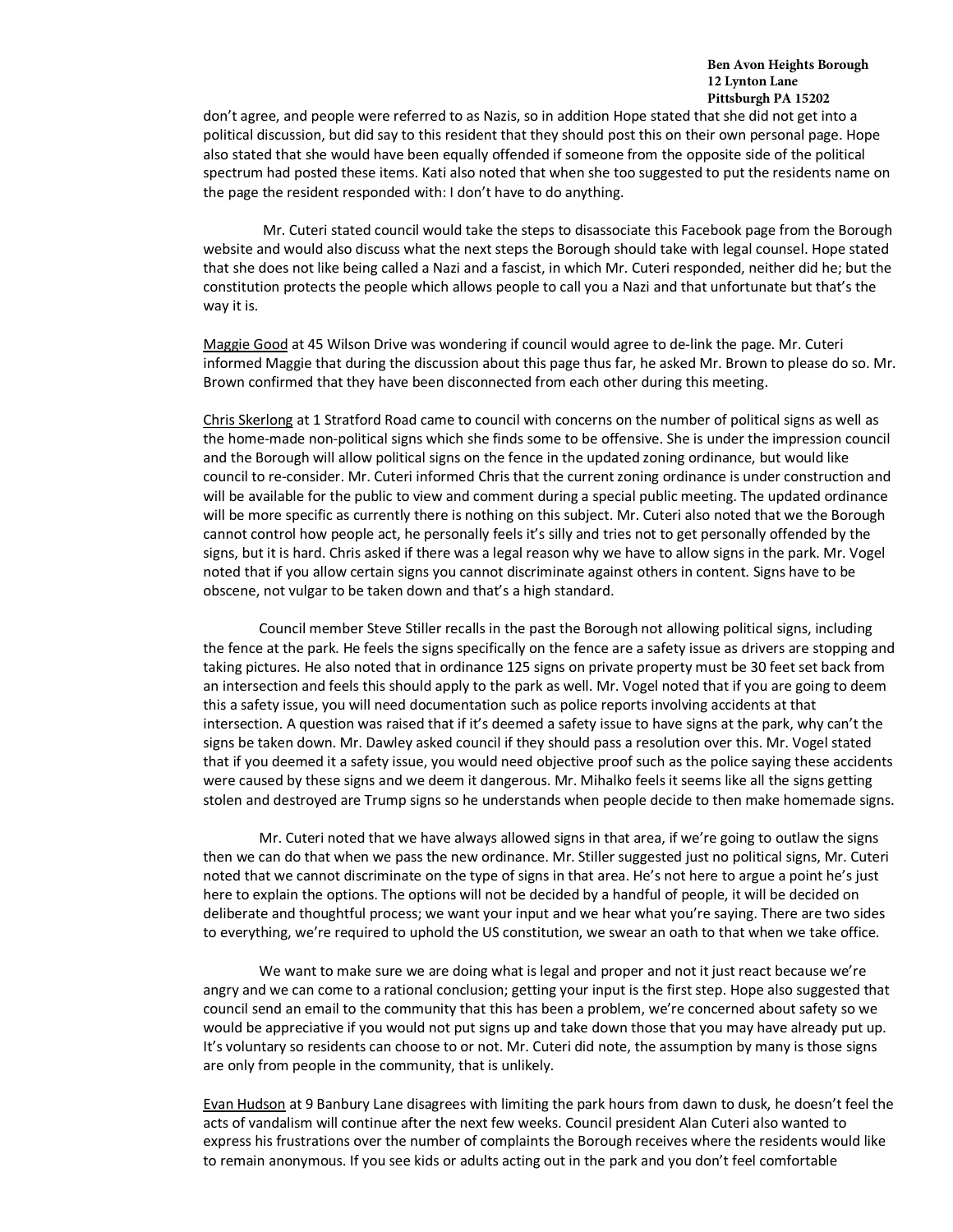don't agree, and people were referred to as Nazis, so in addition Hope stated that she did not get into a political discussion, but did say to this resident that they should post this on their own personal page. Hope also stated that she would have been equally offended if someone from the opposite side of the political spectrum had posted these items. Kati also noted that when she too suggested to put the residents name on the page the resident responded with: I don't have to do anything.

Mr. Cuteri stated council would take the steps to disassociate this Facebook page from the Borough website and would also discuss what the next steps the Borough should take with legal counsel. Hope stated that she does not like being called a Nazi and a fascist, in which Mr. Cuteri responded, neither did he; but the constitution protects the people which allows people to call you a Nazi and that unfortunate but that's the way it is.

Maggie Good at 45 Wilson Drive was wondering if council would agree to de-link the page. Mr. Cuteri informed Maggie that during the discussion about this page thus far, he asked Mr. Brown to please do so. Mr. Brown confirmed that they have been disconnected from each other during this meeting.

Chris Skerlong at 1 Stratford Road came to council with concerns on the number of political signs as well as the home-made non-political signs which she finds some to be offensive. She is under the impression council and the Borough will allow political signs on the fence in the updated zoning ordinance, but would like council to re-consider. Mr. Cuteri informed Chris that the current zoning ordinance is under construction and will be available for the public to view and comment during a special public meeting. The updated ordinance will be more specific as currently there is nothing on this subject. Mr. Cuteri also noted that we the Borough cannot control how people act, he personally feels it's silly and tries not to get personally offended by the signs, but it is hard. Chris asked if there was a legal reason why we have to allow signs in the park. Mr. Vogel noted that if you allow certain signs you cannot discriminate against others in content. Signs have to be obscene, not vulgar to be taken down and that's a high standard.

Council member Steve Stiller recalls in the past the Borough not allowing political signs, including the fence at the park. He feels the signs specifically on the fence are a safety issue as drivers are stopping and taking pictures. He also noted that in ordinance 125 signs on private property must be 30 feet set back from an intersection and feels this should apply to the park as well. Mr. Vogel noted that if you are going to deem this a safety issue, you will need documentation such as police reports involving accidents at that intersection. A question was raised that if it's deemed a safety issue to have signs at the park, why can't the signs be taken down. Mr. Dawley asked council if they should pass a resolution over this. Mr. Vogel stated that if you deemed it a safety issue, you would need objective proof such as the police saying these accidents were caused by these signs and we deem it dangerous. Mr. Mihalko feels it seems like all the signs getting stolen and destroyed are Trump signs so he understands when people decide to then make homemade signs.

Mr. Cuteri noted that we have always allowed signs in that area, if we're going to outlaw the signs then we can do that when we pass the new ordinance. Mr. Stiller suggested just no political signs, Mr. Cuteri noted that we cannot discriminate on the type of signs in that area. He's not here to argue a point he's just here to explain the options. The options will not be decided by a handful of people, it will be decided on deliberate and thoughtful process; we want your input and we hear what you're saying. There are two sides to everything, we're required to uphold the US constitution, we swear an oath to that when we take office.

We want to make sure we are doing what is legal and proper and not it just react because we're angry and we can come to a rational conclusion; getting your input is the first step. Hope also suggested that council send an email to the community that this has been a problem, we're concerned about safety so we would be appreciative if you would not put signs up and take down those that you may have already put up. It's voluntary so residents can choose to or not. Mr. Cuteri did note, the assumption by many is those signs are only from people in the community, that is unlikely.

Evan Hudson at 9 Banbury Lane disagrees with limiting the park hours from dawn to dusk, he doesn't feel the acts of vandalism will continue after the next few weeks. Council president Alan Cuteri also wanted to express his frustrations over the number of complaints the Borough receives where the residents would like to remain anonymous. If you see kids or adults acting out in the park and you don't feel comfortable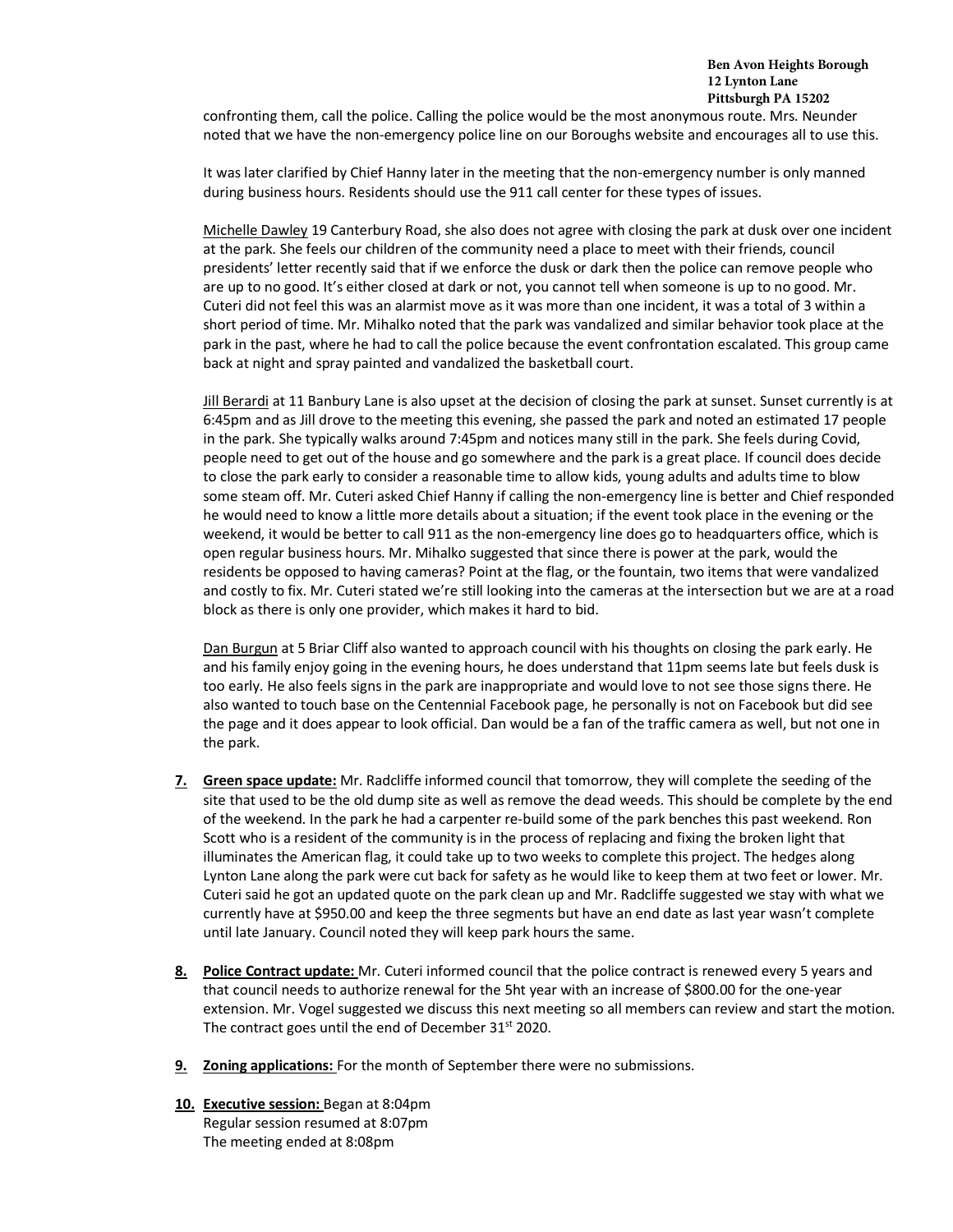confronting them, call the police. Calling the police would be the most anonymous route. Mrs. Neunder noted that we have the non-emergency police line on our Boroughs website and encourages all to use this.

It was later clarified by Chief Hanny later in the meeting that the non-emergency number is only manned during business hours. Residents should use the 911 call center for these types of issues.

Michelle Dawley 19 Canterbury Road, she also does not agree with closing the park at dusk over one incident at the park. She feels our children of the community need a place to meet with their friends, council presidents' letter recently said that if we enforce the dusk or dark then the police can remove people who are up to no good. It's either closed at dark or not, you cannot tell when someone is up to no good. Mr. Cuteri did not feel this was an alarmist move as it was more than one incident, it was a total of 3 within a short period of time. Mr. Mihalko noted that the park was vandalized and similar behavior took place at the park in the past, where he had to call the police because the event confrontation escalated. This group came back at night and spray painted and vandalized the basketball court.

Jill Berardi at 11 Banbury Lane is also upset at the decision of closing the park at sunset. Sunset currently is at 6:45pm and as Jill drove to the meeting this evening, she passed the park and noted an estimated 17 people in the park. She typically walks around 7:45pm and notices many still in the park. She feels during Covid, people need to get out of the house and go somewhere and the park is a great place. If council does decide to close the park early to consider a reasonable time to allow kids, young adults and adults time to blow some steam off. Mr. Cuteri asked Chief Hanny if calling the non-emergency line is better and Chief responded he would need to know a little more details about a situation; if the event took place in the evening or the weekend, it would be better to call 911 as the non-emergency line does go to headquarters office, which is open regular business hours. Mr. Mihalko suggested that since there is power at the park, would the residents be opposed to having cameras? Point at the flag, or the fountain, two items that were vandalized and costly to fix. Mr. Cuteri stated we're still looking into the cameras at the intersection but we are at a road block as there is only one provider, which makes it hard to bid.

Dan Burgun at 5 Briar Cliff also wanted to approach council with his thoughts on closing the park early. He and his family enjoy going in the evening hours, he does understand that 11pm seems late but feels dusk is too early. He also feels signs in the park are inappropriate and would love to not see those signs there. He also wanted to touch base on the Centennial Facebook page, he personally is not on Facebook but did see the page and it does appear to look official. Dan would be a fan of the traffic camera as well, but not one in the park.

- **7. Green space update:** Mr. Radcliffe informed council that tomorrow, they will complete the seeding of the site that used to be the old dump site as well as remove the dead weeds. This should be complete by the end of the weekend. In the park he had a carpenter re-build some of the park benches this past weekend. Ron Scott who is a resident of the community is in the process of replacing and fixing the broken light that illuminates the American flag, it could take up to two weeks to complete this project. The hedges along Lynton Lane along the park were cut back for safety as he would like to keep them at two feet or lower. Mr. Cuteri said he got an updated quote on the park clean up and Mr. Radcliffe suggested we stay with what we currently have at \$950.00 and keep the three segments but have an end date as last year wasn't complete until late January. Council noted they will keep park hours the same.
- **8. Police Contract update:** Mr. Cuteri informed council that the police contract is renewed every 5 years and that council needs to authorize renewal for the 5ht year with an increase of \$800.00 for the one-year extension. Mr. Vogel suggested we discuss this next meeting so all members can review and start the motion. The contract goes until the end of December 31<sup>st</sup> 2020.
- **9. Zoning applications:** For the month of September there were no submissions.
- **10. Executive session:** Began at 8:04pm Regular session resumed at 8:07pm The meeting ended at 8:08pm